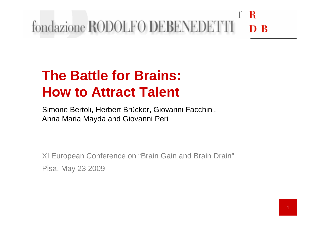#### R fondazione RODOLFO DEBENEDET. D<sub>R</sub>

### **The Battle for Brains: How to Attract Talent**

Simone Bertoli, Herbert Brücker, Giovanni Facchini, Anna Maria Mayda and Giovanni Peri

XI European Conference on "Brain Gain and Brain Drain"Pisa, May 23 2009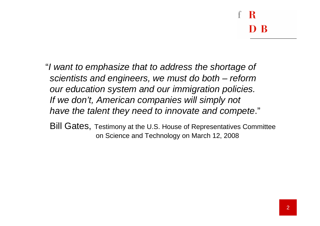- "I want to emphasize that to address the shortage ofscientists and engineers, we must do both – reform our education system and our immigration policies. If we don't, American companies will simply not have the talent they need to innovate and compete."
	- Bill Gates, Testimony at the U.S. House of Representatives Committee on Science and Technology on March 12, 2008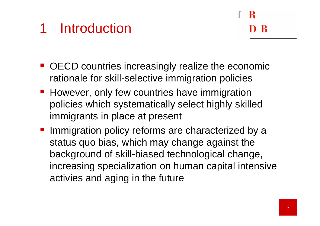### 1 Introduction

- OECD countries increasingly realize the economic rationale for skill-selective immigration policies
- However, only few countries have immigration policies which systematically select highly skilledimmigrants in place at present
- **Immigration policy reforms are characterized by a** status quo bias, which may change against the background of skill-biased technological change, increasing specialization on human capital intensive activies and aging in the future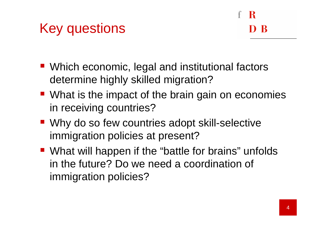### Key questions

- Which economic, legal and institutional factors determine highly skilled migration?
- What is the impact of the brain gain on economies in receiving countries?
- Why do so few countries adopt skill-selective immigration policies at present?
- What will happen if the "battle for brains" unfolds in the future? Do we need a coordination of immigration policies?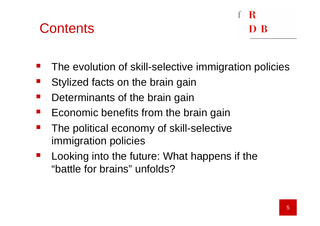### **Contents**

#### R D R

- **STATE** The evolution of skill-selective immigration policies
- **STATE** Stylized facts on the brain gain
- **STATE** Determinants of the brain gain
- **STATE** Economic benefits from the brain gain
- **STATE**  The political economy of skill-selective immigration policies
- **STATE**  Looking into the future: What happens if the "battle for brains" unfolds?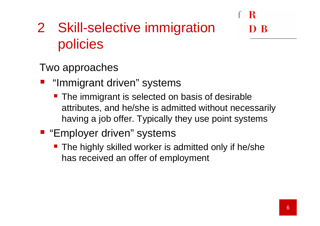### <sup>2</sup> Skill-selective immigration policies

Two approaches

- "Immigrant driven" systems
	- **The immigrant is selected on basis of desirable** attributes, and he/she is admitted without necessarily having a job offer. Typically they use point systems
- **Employer driven" systems** 
	- **The highly skilled worker is admitted only if he/she** has received an offer of employment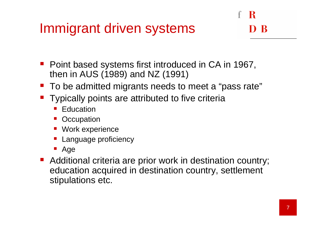### Immigrant driven systems

#### R - R

- Point based systems first introduced in CA in 1967, then in AUS (1989) and NZ (1991)
- To be admitted migrants needs to meet a "pass rate"
- **Typically points are attributed to five criteria** 
	- **Education**
	- **Occupation**
	- **Nork experience**
	- **Language proficiency** e<br>P
	- Age
- Additional criteria are prior work in destination country; education acquired in destination country, settlement stipulations etc.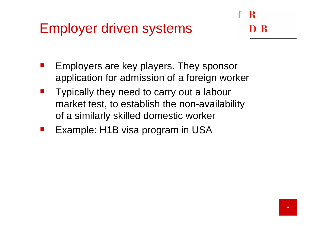### Employer driven systems

- Employers are key players. They sponsor application for admission of a foreign worker
- $\mathcal{L}^{\text{max}}$  Typically they need to carry out a labour market test, to establish the non-availability of a similarly skilled domestic worker
- Example: H1B visa program in USA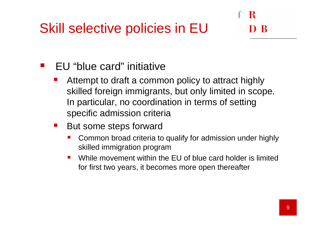### Skill selective policies in EU

#### R - R

#### **STATE** EU "blue card" initiative

- er<br>1 Attempt to draft a common policy to attract highly skilled foreign immigrants, but only limited in scope. In particular, no coordination in terms of setting specific admission criteria
- $\mathcal{L}^{\text{max}}_{\text{max}}$  But some steps forward
	- **Common broad criteria to qualify for admission under highly** skilled immigration program
	- While movement within the EU of blue card holder is limited  $\mathcal{L}$ for first two years, it becomes more open thereafter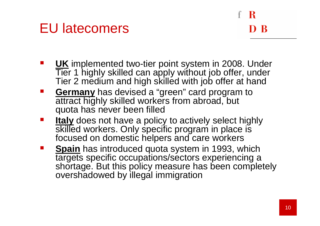### EU latecomers

# - R

- UK implemented two-tier point system in 2008. Under<br>Tier 1 bighty skilled can apply without ioh offer under Tier 1 highly skilled can apply without job offer, under Tier 2 medium and high skilled with job offer at hand
- $\mathcal{L}^{\text{max}}_{\text{max}}$ **Germany** has devised a "green" card program to attract highly skilled workers from abroad, but quota has never been filled
- **Italy** does not have a polic<br>akilled werkere Only anec  $\mathcal{L}^{\text{max}}_{\text{max}}$ skilled workers. Only specific program in place is focused on domestic helpers and care workers
- **Spain** has introduced quota system in 1993, which<br> **Spain** has introduced quota system in 1993, which targets specific occupations/sectors experiencing <sup>a</sup> shortage. But this policy measure has been completely overshadowed by illegal immigration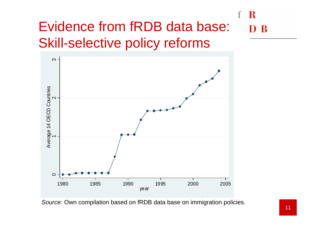#### R Evidence from fRDB data base:  $\mathbf{R}$ Skill-selective policy reforms



Source: Own compilation based on fRDB data base on immigration policies.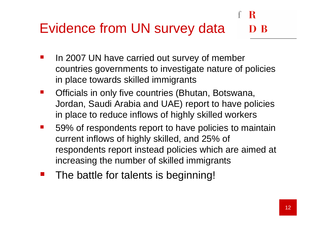## Evidence from UN survey data

- $\mathcal{L}^{\text{max}}_{\text{max}}$  In 2007 UN have carried out survey of member countries governments to investigate nature of policies in place towards skilled immigrants
- **The Co**  Officials in only five countries (Bhutan, Botswana, Jordan, Saudi Arabia and UAE) report to have policies in place to reduce inflows of highly skilled workers
- 59% of respondents report to have policies to maintain current inflows of highly skilled, and 25% of respondents report instead policies which are aimed at increasing the number of skilled immigrants
- $\mathcal{L}^{\text{max}}_{\text{max}}$ The battle for talents is beginning!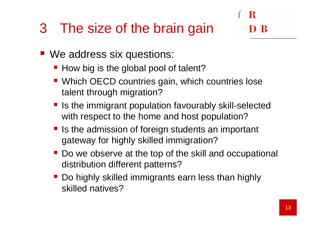### 3 The size of the brain gain

- We address six questions:
	- How big is the global pool of talent?
	- **Which OECD countries gain, which countries lose** talent through migration?
	- **If** Is the immigrant population favourably skill-selected with respect to the home and host population?
	- $\blacksquare$  Is the admission of foreign students an important gateway for highly skilled immigration?
	- Do we observe at the top of the skill and occupational distribution different patterns?
	- Do highly skilled immigrants earn less than highly skilled natives?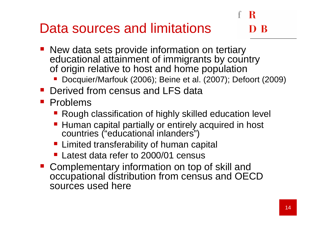## Data sources and limitations

- New data sets provide information on tertiary<br>educational ettoinment of immigrante by equa educational attainment of immigrants by country of origin relative to host and home population
	- Docquier/Marfouk (2006); Beine et al. (2007); Defoort (2009)
- **Derived from census and LFS data**
- **Problems** 
	- **Rough classification of highly skilled education level**
	- Human capital partially or entirely acquired in host countries ("educational inlanders")
	- **Limited transferability of human capital**
	- **Latest data refer to 2000/01 census**
- Complementary information on top of skill and occupational distribution from census and OECD sources used here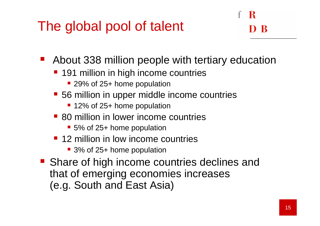### The global pool of talent

#### - R -R

 $\mathcal{L}^{\text{max}}_{\text{max}}$ About 338 million people with tertiary education

- 191 million in high income countries
	- 29% of 25+ home population
- 56 million in upper middle income countries
	- 12% of 25+ home population
- **80 million in lower income countries** 
	- 5% of 25+ home population
- 12 million in low income countries
	- 3% of 25+ home population
- **Share of high income countries declines and Share of high income countries declines and** that of emerging economies increases (e.g. South and East Asia)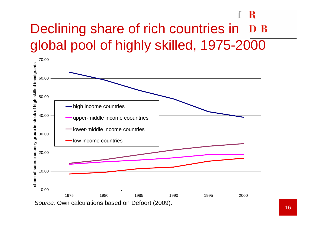### R Declining share of rich countries in D B global pool of highly skilled, 1975-2000

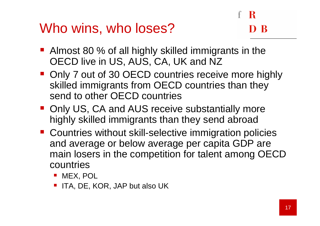### Who wins, who loses?

- Almost 80 % of all highly skilled immigrants in the OECD live in US, AUS, CA, UK and NZ
- Only 7 out of 30 OECD countries receive more highly skilled immigrants from OECD countries than they send to other OECD countries
- Only US, CA and AUS receive substantially more highly skilled immigrants than they send abroad
- **Countries without skill-selective immigration policies** and average or below average per capita GDP are main losers in the competition for talent among OECD countries
	- MEX, POL
	- ITA, DE, KOR, JAP but also UK  $\mathcal{L}^{\text{max}}_{\text{max}}$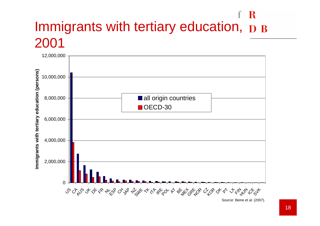#### R Immigrants with tertiary education,  $\bf{D}$  B 2001



Source: Beine et al. (2007).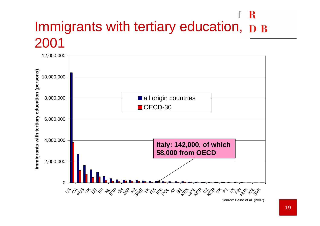#### R Immigrants with tertiary education,  $\bf{D}$  B 2001



Source: Beine et al. (2007).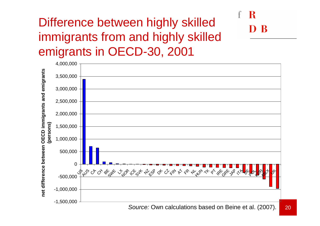### Difference between highly skilled immigrants from and highly skilled emigrants in OECD-30, 2001

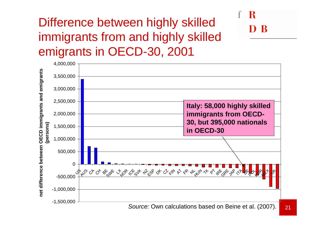### Difference between highly skilled immigrants from and highly skilled emigrants in OECD-30, 2001

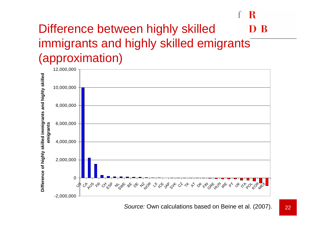#### Difference between highly skilled B immigrants and highly skilled emigrants<sup>7</sup> (approximation)

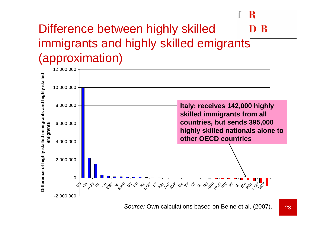#### Difference between highly skilled R immigrants and highly skilled emigrants (approximation)

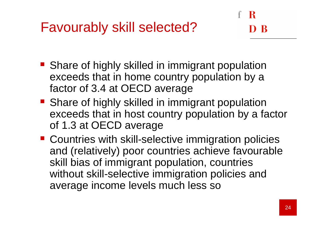- **Share of highly skilled in immigrant population** exceeds that in home country population by a factor of 3.4 at OECD average
- **Share of highly skilled in immigrant population** exceeds that in host country population by a factorof 1.3 at OECD average
- **Countries with skill-selective immigration policies** and (relatively) poor countries achieve favourable skill bias of immigrant population, countries without skill-selective immigration policies and average income levels much less so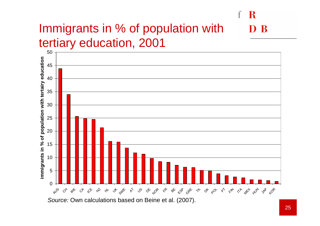#### Immigrants in % of population with B tertiary education, 2001

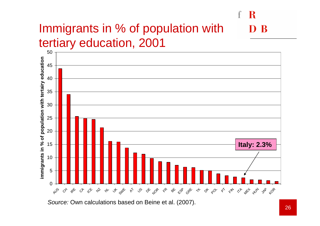#### Immigrants in % of population with B tertiary education, 2001



Source: Own calculations based on Beine et al. (2007).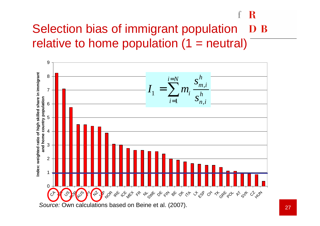### Selection bias of immigrant population D B relative to home population (1 = neutral)

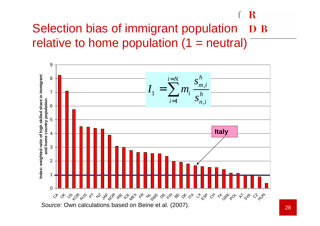#### R Selection bias of immigrant population D B relative to home population (1 = neutral)

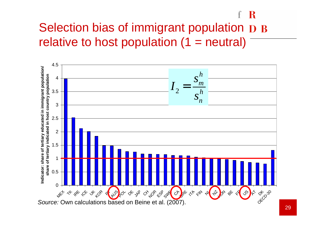#### - R Selection bias of immigrant population D B relative to host population  $(1 = neutral)$

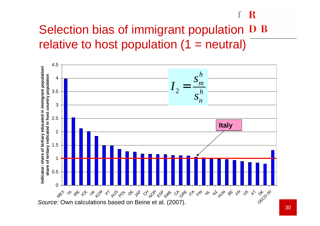### Selection bias of immigrant population D B relative to host population  $(1 = neutral)$

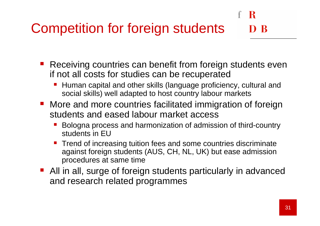### Competition for foreign students

- $\mathcal{L}^{\text{max}}_{\text{max}}$  Receiving countries can benefit from foreign students even if not all costs for studies can be recuperated
	- Human capital and other skills (language proficiency, cultural and social skills) well adapted to host country labour markets
- **More and more countries facilitated immigration of foreign** students and eased labour market access
	- Bologna process and harmonization of admission of third-country students in EU
	- Trend of increasing tuition fees and some countries discriminate against foreign students (AUS, CH, NL, UK) but ease admission procedures at same time
- **All in all, surge of foreign students particularly in advanced** and research related programmes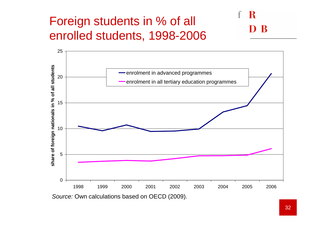### Foreign students in % of all enrolled students, 1998-2006

#### R R

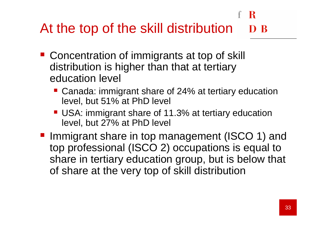#### R At the top of the skill distribution

- Concentration of immigrants at top of skill distribution is higher than that at tertiary education level
	- Canada: immigrant share of 24% at tertiary education level, but 51% at PhD level
	- USA: immigrant share of 11.3% at tertiary education level, but 27% at PhD level
- Immigrant share in top management (ISCO 1) and top professional (ISCO 2) occupations is equal to share in tertiary education group, but is below that of share at the very top of skill distribution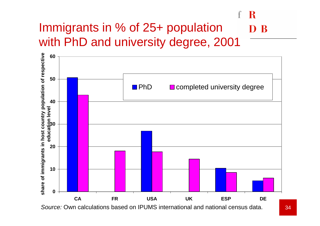#### R Immigrants in % of 25+ population D<sub>B</sub> with PhD and university degree, 2001

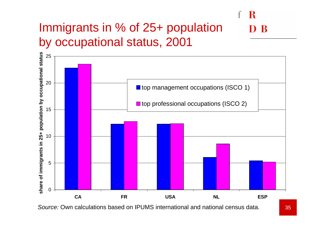#### Immigrants in % of 25+ population R by occupational status, 2001



Source: Own calculations based on IPUMS international and national census data.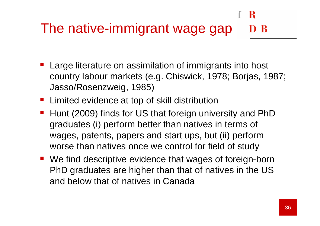#### The native-immigrant wage gapD R

- **Large literature on assimilation of immigrants into host** country labour markets (e.g. Chiswick, 1978; Borjas, 1987; Jasso/Rosenzweig, 1985)
- **E** Limited evidence at top of skill distribution
- Hunt (2009) finds for US that foreign university and PhD graduates (i) perform better than natives in terms of wages, patents, papers and start ups, but (ii) perform worse than natives once we control for field of study
- We find descriptive evidence that wages of foreign-born PhD graduates are higher than that of natives in the US and below that of natives in Canada

ĸ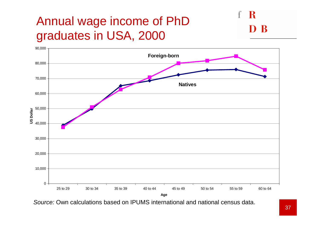### Annual wage income of PhD graduates in USA, 2000





Source: Own calculations based on IPUMS international and national census data.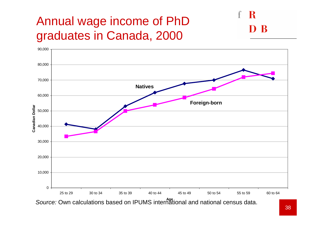### Annual wage income of PhD graduates in Canada, 2000





Source: Own calculations based on IPUMS international and national census data.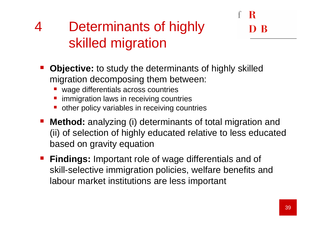## <sup>4</sup> Determinants of highly skilled migration

- **Contract Contract Contract Contract Contract Contract Contract Contract Contract Contract Contract Contract Co Objective:** to study the determinants of highly skilled migration decomposing them between:
	- **u** wage differentials across countries
	- immigration laws in receiving countries
	- other policy variables in receiving countries
- **Contract Contract Contract Contract Contract Contract Contract Contract Contract Contract Contract Contract Co Method:** analyzing (i) determinants of total migration and (ii) of selection of highly educated relative to less educated based on gravity equation
- **Findings:** Important role of wage differentials and of skill-selective immigration policies, welfare benefits and labour market institutions are less important

R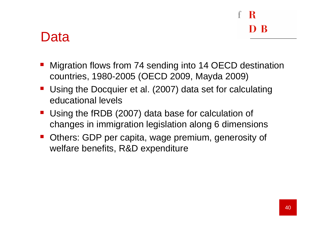# R

### Data

- **Nigration flows from 74 sending into 14 OECD destination** countries, 1980-2005 (OECD 2009, Mayda 2009)
- **Using the Docquier et al. (2007) data set for calculating** educational levels
- Using the fRDB (2007) data base for calculation of changes in immigration legislation along 6 dimensions
- **Others: GDP per capita, wage premium, generosity of** welfare benefits, R&D expenditure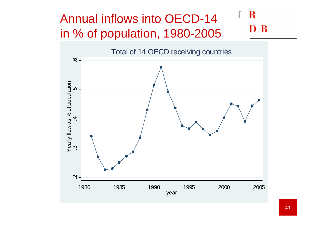#### R Annual inflows into OECD-14 B in % of population, 1980-2005

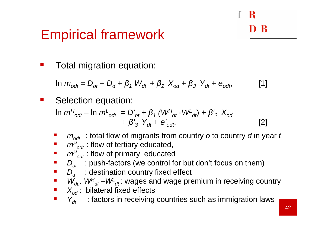### - R D R

### Empirical framework

**Contract** Total migration equation:

 $\ln m_{odt} = D_{ot} + D_d + \beta_1 W_{dt} + \beta_2 X_{od} + \beta_3 Y_{dt} + e_{odt}$  [1]

**Service Service** Selection equation:

$$
\ln m^{H}_{\text{odd}} - \ln m^{L}_{\text{odd}} = D'_{\text{ot}} + \beta_{1} (W^{H}_{\text{dt}} - W^{L}_{\text{dt}}) + \beta_{2}^{'} X_{\text{od}} + \beta_{3}^{'} Y_{\text{dt}} + e'_{\text{odt}}, \tag{2}
$$

- **Service Service**  $m_{odt}^{\phantom{\dag}}$  : total flow of migrants from country *o* to country *d* in year *t*
- **Service Service**  $m^{\!H}$  $\delta_{\mathit{odt}}$  : flow of tertiary educated,
- $m^{H}$ **Service Service**  $\epsilon_{\mathsf{odd}}$  : flow of primary educated
- $\blacksquare$   $D_{\mathit{ot}}$  : push-factors (we control for but don't focus on them)
- $\blacksquare$   $D_d$  : destination country fixed effect
- **Service Service**  $\mathcal{W}_{\mathit{dt},\cdot}$   $\mathcal{W}^{H}_{\mathit{dt}}$  – $\mathcal{W}^{L}_{\mathit{dt}}$ : wages and wage premium in receiving country
- $\blacksquare$   $X_{od}$ : bilateral fixed effects
- $\mathbb{R}^2$  $\mathsf{Y}_{\mathsf{dt}}$   $\;\;$  : factors in receiving countries such as immigration laws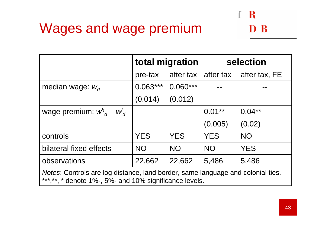### Wages and wage premium

|                                                                                                                                              |            | total migration | selection  |               |  |
|----------------------------------------------------------------------------------------------------------------------------------------------|------------|-----------------|------------|---------------|--|
|                                                                                                                                              | pre-tax    | after tax       | after tax  | after tax, FE |  |
| median wage: $W_d$                                                                                                                           | $0.063***$ | $0.060***$      |            |               |  |
|                                                                                                                                              | (0.014)    | (0.012)         |            |               |  |
| wage premium: $w^n_{d}$ - $w'_{d}$                                                                                                           |            |                 | $0.01**$   | $0.04**$      |  |
|                                                                                                                                              |            |                 | (0.005)    | (0.02)        |  |
| controls                                                                                                                                     | <b>YES</b> | <b>YES</b>      | <b>YES</b> | <b>NO</b>     |  |
| bilateral fixed effects                                                                                                                      | <b>NO</b>  | <b>NO</b>       | <b>NO</b>  | <b>YES</b>    |  |
| observations                                                                                                                                 | 22,662     | 22,662          | 5,486      | 5,486         |  |
| Notes: Controls are log distance, land border, same language and colonial ties.--<br>***, **, * denote 1%-, 5%- and 10% significance levels. |            |                 |            |               |  |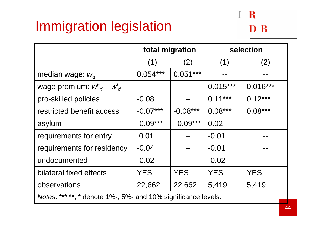### Immigration legislation

### $f R$ D B

|                                                                | total migration |            | selection  |            |  |
|----------------------------------------------------------------|-----------------|------------|------------|------------|--|
|                                                                | (1)             | (2)        | (1)        | (2)        |  |
| median wage: $W_d$                                             | $0.054***$      | $0.051***$ |            |            |  |
| wage premium: $w^h_{d}$ - $w^l_{d}$                            |                 |            | $0.015***$ | $0.016***$ |  |
| pro-skilled policies                                           | $-0.08$         |            | $0.11***$  | $0.12***$  |  |
| restricted benefit access                                      | $-0.07***$      | $-0.08***$ | $0.08***$  | $0.08***$  |  |
| asylum                                                         | $-0.09***$      | $-0.09***$ | 0.02       |            |  |
| requirements for entry                                         | 0.01            |            | $-0.01$    |            |  |
| requirements for residency                                     | $-0.04$         |            | $-0.01$    |            |  |
| undocumented                                                   | $-0.02$         |            | $-0.02$    |            |  |
| bilateral fixed effects                                        | <b>YES</b>      | <b>YES</b> | <b>YES</b> | <b>YES</b> |  |
| observations                                                   | 22,662          | 22,662     | 5,419      | 5,419      |  |
| Notes: ***, **, * denote 1%-, 5%- and 10% significance levels. |                 |            |            |            |  |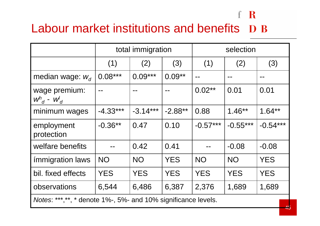### Labour market institutions and benefits D B

|                                                               | total immigration |            |            | selection  |            |            |
|---------------------------------------------------------------|-------------------|------------|------------|------------|------------|------------|
|                                                               | (1)               | (2)        | (3)        | (1)        | (2)        | (3)        |
| median wage: $w_d$                                            | $0.08***$         | $0.09***$  | $0.09**$   |            |            |            |
| wage premium:<br>$W^h_{d}$ - $W^l_{d}$                        |                   |            |            | $0.02**$   | 0.01       | 0.01       |
| minimum wages                                                 | $-4.33***$        | $-3.14***$ | $-2.88**$  | 0.88       | $1.46**$   | $1.64**$   |
| employment<br>protection                                      | $-0.36**$         | 0.47       | 0.10       | $-0.57***$ | $-0.55***$ | $-0.54***$ |
| welfare benefits                                              |                   | 0.42       | 0.41       |            | $-0.08$    | $-0.08$    |
| <i>immigration laws</i>                                       | <b>NO</b>         | <b>NO</b>  | <b>YES</b> | <b>NO</b>  | <b>NO</b>  | <b>YES</b> |
| bil. fixed effects                                            | <b>YES</b>        | <b>YES</b> | <b>YES</b> | <b>YES</b> | <b>YES</b> | <b>YES</b> |
| observations                                                  | 6,544             | 6,486      | 6,387      | 2,376      | 1,689      | 1,689      |
| Notes: ***,**, * denote 1%-, 5%- and 10% significance levels. |                   |            |            |            |            |            |

f R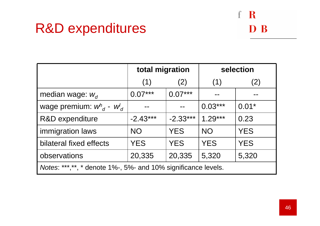### R&D expenditures

### $f R$ D B

|                                                                | total migration |            | selection  |            |  |
|----------------------------------------------------------------|-----------------|------------|------------|------------|--|
|                                                                | (1)             | (2)        | (1)        | (2)        |  |
| median wage: $W_d$                                             | $0.07***$       | $0.07***$  |            |            |  |
| wage premium: $w^n_{d}$ - $w'_{d}$                             |                 |            | $0.03***$  | $0.01*$    |  |
| <b>R&amp;D</b> expenditure                                     | $-2.43***$      | $-2.33***$ | $1.29***$  | 0.23       |  |
| immigration laws                                               | <b>NO</b>       | <b>YES</b> | <b>NO</b>  | <b>YES</b> |  |
| bilateral fixed effects                                        | <b>YES</b>      | <b>YES</b> | <b>YES</b> | <b>YES</b> |  |
| observations                                                   | 20,335          | 20,335     | 5,320      | 5,320      |  |
| Notes: ***, **, * denote 1%-, 5%- and 10% significance levels. |                 |            |            |            |  |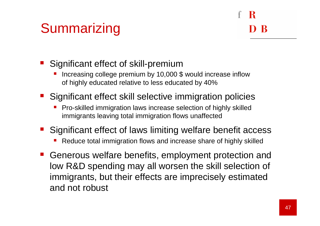### **Summarizing**

- Significant effect of skill-premium
	- **Increasing college premium by 10,000 \$ would increase inflow** P. of highly educated relative to less educated by 40%
- **Significant effect skill selective immigration policies** 
	- **Pro-skilled immigration laws increase selection of highly skilled** immigrants leaving total immigration flows unaffected
- **Significant effect of laws limiting welfare benefit access** 
	- P. Reduce total immigration flows and increase share of highly skilled
- **Generous welfare benefits, employment protection and** low R&D spending may all worsen the skill selection of immigrants, but their effects are imprecisely estimated and not robust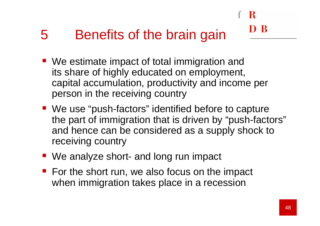## 5 Benefits of the brain gain

- We estimate impact of total immigration and its share of highly educated on employment, capital accumulation, productivity and income per person in the receiving country
- We use "push-factors" identified before to capture the part of immigration that is driven by "push-factors"and hence can be considered as a supply shock to receiving country
- We analyze short- and long run impact
- For the short run, we also focus on the impact when immigration takes place in a recession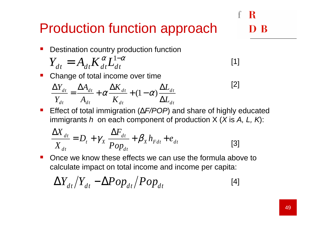### Production function approach

Destination country production function

$$
Y_{dt} = A_{dt} K_{dt}^{\alpha} L_{dt}^{1-\alpha}
$$
 [1]

**Change of total income over time** 

$$
\frac{\Delta Y_{dt}}{Y_{dt}} = \frac{\Delta A_{dt}}{A_{dt}} + \alpha \frac{\Delta K_{dt}}{K_{dt}} + (1 - \alpha) \frac{\Delta L_{dt}}{\Delta L_{dt}}
$$

■ Effect of total immigration ( $\triangle F/POP$ ) and share of highly educated immigrants  $h$  on each component of production X (X is A, L, K):

$$
\frac{\Delta X_{dt}}{X_{dt}} = D_t + \gamma_X \frac{\Delta F_{dt}}{Pop_{dt}} + \beta_X h_{Fdt} + e_{dt}
$$
 [3]

 $\mathcal{L}_{\text{max}}$  Once we know these effects we can use the formula above to calculate impact on total income and income per capita:

$$
\Delta Y_{dt}/Y_{dt} - \Delta Pop_{dt}/Pop_{dt} \tag{4}
$$

[2]

R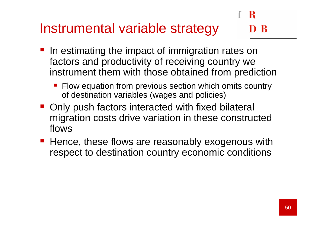## Instrumental variable strategy

- In estimating the impact of immigration rates on factors and productivity of receiving country we instrument them with those obtained from prediction
	- Flow equation from previous section which omits country of destination variables (wages and policies)
- Only push factors interacted with fixed bilateral migration costs drive variation in these constructed flows
- Hence, these flows are reasonably exogenous with respect to destination country economic conditions

R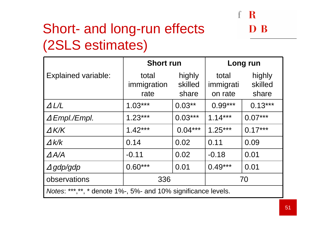### Short- and long-run effects (2SLS estimates)

|                                                                | <b>Short run</b>             |                            | Long run                      |                            |  |
|----------------------------------------------------------------|------------------------------|----------------------------|-------------------------------|----------------------------|--|
| <b>Explained variable:</b>                                     | total<br>immigration<br>rate | highly<br>skilled<br>share | total<br>immigrati<br>on rate | highly<br>skilled<br>share |  |
| $\Delta L/L$                                                   | $1.03***$                    | $0.03**$                   | $0.99***$                     | $0.13***$                  |  |
| $\triangle$ Empl./Empl.                                        | $1.23***$                    | $0.03***$                  | $1.14***$                     | $0.07***$                  |  |
| $\Delta$ K/K                                                   | $1.42***$                    | $0.04***$                  | $1.25***$                     | $0.17***$                  |  |
| $\Delta$ k/k                                                   | 0.14                         | 0.02                       | 0.11                          | 0.09                       |  |
| $\varDelta$ A/A                                                | $-0.11$                      | 0.02                       | $-0.18$                       | 0.01                       |  |
| $\varDelta$ gdp/gdp                                            | $0.60***$                    | 0.01                       | $0.49***$                     | 0.01                       |  |
| observations                                                   | 336<br>70                    |                            |                               |                            |  |
| Notes: ***, **, * denote 1%-, 5%- and 10% significance levels. |                              |                            |                               |                            |  |

 $\mathbf{f}$ 

- R

D B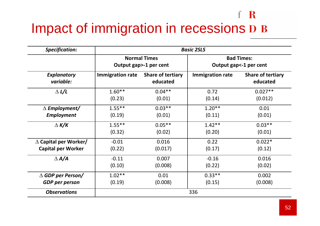## Impact of immigration in recessions D B

| <b>Specification:</b>           | <b>Basic 2SLS</b>                             |                                      |                         |                                               |  |
|---------------------------------|-----------------------------------------------|--------------------------------------|-------------------------|-----------------------------------------------|--|
|                                 | <b>Normal Times</b><br>Output gap>-1 per cent |                                      |                         | <b>Bad Times:</b><br>Output gap <- 1 per cent |  |
| <b>Explanatory</b><br>variable: | <b>Immigration rate</b>                       | <b>Share of tertiary</b><br>educated | <b>Immigration rate</b> | <b>Share of tertiary</b><br>educated          |  |
| $\Delta L/L$                    | $1.60**$                                      | $0.04***$                            | 0.72                    | $0.027**$                                     |  |
|                                 | (0.23)                                        | (0.01)                               | (0.14)                  | (0.012)                                       |  |
| $\Delta$ Employment/            | $1.55***$                                     | $0.03**$                             | $1.20**$                | 0.01                                          |  |
| Employment                      | (0.19)                                        | (0.01)                               | (0.11)                  | (0.01)                                        |  |
| $\Delta K/K$                    | $1.55***$                                     | $0.05***$                            | $1.42**$                | $0.03**$                                      |  |
|                                 | (0.32)                                        | (0.02)                               | (0.20)                  | (0.01)                                        |  |
| $\Delta$ Capital per Worker/    | $-0.01$                                       | 0.016                                | 0.22                    | $0.022*$                                      |  |
| <b>Capital per Worker</b>       | (0.22)                                        | (0.017)                              | (0.17)                  | (0.12)                                        |  |
| $\triangle A/A$                 | $-0.11$                                       | 0.007                                | $-0.16$                 | 0.016                                         |  |
|                                 | (0.10)                                        | (0.008)                              | (0.22)                  | (0.02)                                        |  |
| $\triangle$ GDP per Person/     | $1.02**$                                      | 0.01                                 | $0.33***$               | 0.002                                         |  |
| <b>GDP</b> per person           | (0.19)                                        | (0.008)                              | (0.15)                  | (0.008)                                       |  |
| <b>Observations</b>             | 336                                           |                                      |                         |                                               |  |

f R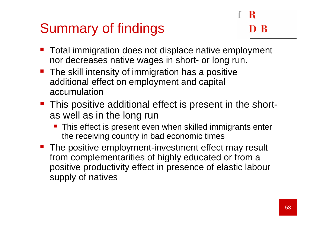### Summary of findings

- Total immigration does not displace native employment nor decreases native wages in short- or long run.
- **The skill intensity of immigration has a positive** additional effect on employment and capital accumulation
- **This positive additional effect is present in the short**as well as in the long run
	- **This effect is present even when skilled immigrants enter** the receiving country in bad economic times
- The positive employment-investment effect may result from complementarities of highly educated or from a positive productivity effect in presence of elastic laboursupply of natives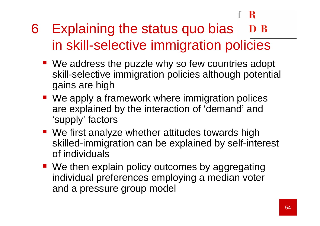-R

#### 6 Explaining the status quo bias D B in skill-selective immigration policies

- We address the puzzle why so few countries adopt skill-selective immigration policies although potential gains are high
- We apply a framework where immigration polices are explained by the interaction of 'demand' and 'supply' factors
- We first analyze whether attitudes towards high skilled-immigration can be explained by self-interest of individuals
- We then explain policy outcomes by aggregating individual preferences employing a median voter and a pressure group model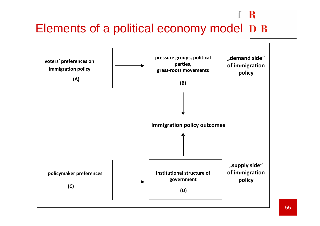#### $\mathbf R$ Elements of a political economy model D B

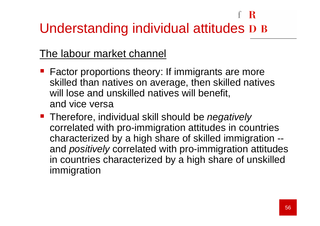#### - R Understanding individual attitudes D B

#### The labour market channel

- **Factor proportions theory: If immigrants are more** skilled than natives on average, then skilled natives will lose and unskilled natives will benefit, and vice versa
- **Therefore, individual skill should be negatively** correlated with pro-immigration attitudes in countries characterized by a high share of skilled immigration -and *positively* correlated with pro-immigration attitudes in countries characterized by a high share of unskilled immigration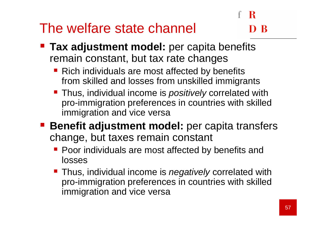### The welfare state channel

# -R

- **Tax adjustment model:** per capita benefits remain constant, but tax rate changes
	- Rich individuals are most affected by benefits from skilled and losses from unskilled immigrants
	- **Thus, individual income is positively correlated with Thus, included** pro-immigration preferences in countries with skilled immigration and vice versa
- **Benefit adjustment model:** per capita transfers change, but taxes remain constant
	- **Poor individuals are most affected by benefits and** losses
	- **Thus, individual income is negatively correlated with** pro-immigration preferences in countries with skilled immigration and vice versa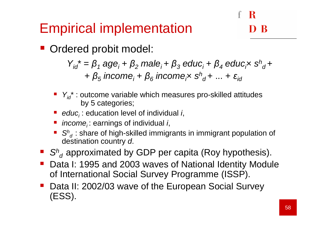### Empirical implementation

**• Ordered probit model:** 

 $Y_{id}^* = \beta_1 \text{ age}_i + \beta_2$ +  $\beta_5$  income<sub>i</sub> +  $\beta_6$  income<sub>i</sub>x  $s^h_{\;\;d}$  +  $_{2}$  male $_{i}$ +  $\pmb{\beta}_{3}$  $_3$  educ $_1$  +  $\beta_4$  $_4$  educ<sub>i</sub>x s<sup>h</sup>  $\frac{d}{d}$  $_{5}$  income<sub>i</sub> +  $\beta_{6}$  $_6$  income<sub>i</sub>x  $\mathrm{s}^{\mathrm{h}}$  $\int_{d}^{u}$ + ... +  $\varepsilon_{id}$ 

- $\blacksquare$   $\mathsf{Y}_{\mathsf{id}}^*$  : outcome variable which measures pro-skilled attitudes by 5 categories;
- educ<sub>i</sub>: education level of individual *i*,
- *income<sub>i</sub>*: earnings of individual *i*,
- **Service Service**  $S<sup>h</sup><sub>d</sub>$ : share of high-skilled immigrants in immigrant population of destination country *d*.
- $\blacksquare$  S $^{\mathsf{h}}{}_{\mathsf{d}}$  approximated by GDP per capita (Roy hypothesis).
- Data I: 1995 and 2003 waves of National Identity Module of International Social Survey Programme (ISSP).
- Data II: 2002/03 wave of the European Social Survey (ESS).

-R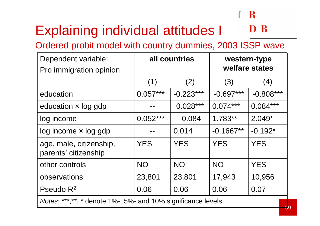#### Explaining individual attitudes I $\mathbf B$

Ordered probit model with country dummies, 2003 ISSP wave

| Dependent variable:<br>Pro immigration opinion                 | all countries |             | western-type<br>welfare states |             |
|----------------------------------------------------------------|---------------|-------------|--------------------------------|-------------|
|                                                                | (1)           | (2)         | (3)                            | (4)         |
| education                                                      | $0.057***$    | $-0.223***$ | $-0.697***$                    | $-0.808***$ |
| education $\times$ log gdp                                     |               | $0.028***$  | $0.074***$                     | $0.084***$  |
| log income                                                     | $0.052***$    | $-0.084$    | $1.783**$                      | $2.049*$    |
| $log$ income $\times$ log gdp                                  |               | 0.014       | $-0.1667**$                    | $-0.192*$   |
| age, male, citizenship,<br>parents' citizenship                | <b>YES</b>    | <b>YES</b>  | <b>YES</b>                     | <b>YES</b>  |
| other controls                                                 | <b>NO</b>     | <b>NO</b>   | <b>NO</b>                      | <b>YES</b>  |
| observations                                                   | 23,801        | 23,801      | 17,943                         | 10,956      |
| Pseudo $R^2$                                                   | 0.06          | 0.06        | 0.06                           | 0.07        |
| Notes: ***, **, * denote 1%-, 5%- and 10% significance levels. |               |             |                                |             |

R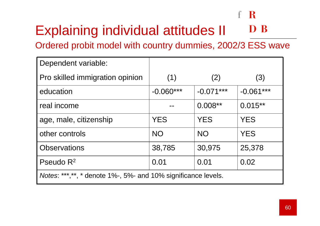#### R  $f^{\prime}$

#### Explaining individual attitudes IID B

Ordered probit model with country dummies, 2002/3 ESS wave

| Dependent variable:                                            |             |             |             |  |  |
|----------------------------------------------------------------|-------------|-------------|-------------|--|--|
| Pro skilled immigration opinion                                | (1)         | (2)         | (3)         |  |  |
| education                                                      | $-0.060***$ | $-0.071***$ | $-0.061***$ |  |  |
| real income                                                    |             | $0.008**$   | $0.015**$   |  |  |
| age, male, citizenship                                         | <b>YES</b>  | <b>YES</b>  | <b>YES</b>  |  |  |
| other controls                                                 | <b>NO</b>   | <b>NO</b>   | <b>YES</b>  |  |  |
| <b>Observations</b>                                            | 38,785      | 30,975      | 25,378      |  |  |
| Pseudo $R^2$                                                   | 0.01        | 0.01        | 0.02        |  |  |
| Notes: ***, **, * denote 1%-, 5%- and 10% significance levels. |             |             |             |  |  |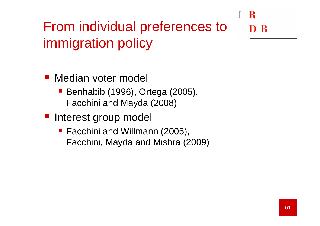#### R From individual preferences to- R immigration policy

**• Median voter model** 

- Benhabib (1996), Ortega (2005), Facchini and Mayda (2008)
- Interest group model
	- Facchini and Willmann (2005), Facchini, Mayda and Mishra (2009)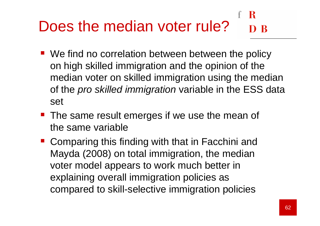#### в Does the median voter rule?

- We find no correlation between between the policy on high skilled immigration and the opinion of the median voter on skilled immigration using the median of the *pro skilled immigration* variable in the ESS data set
- **The same result emerges if we use the mean of** the same variable
- Comparing this finding with that in Facchini and Mayda (2008) on total immigration, the median voter model appears to work much better in explaining overall immigration policies as compared to skill-selective immigration policies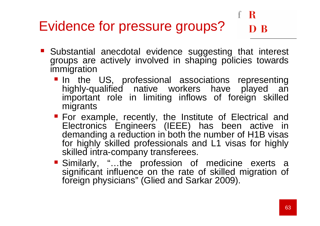## Evidence for pressure groups?

- Substantial anecdotal evidence suggesting that interest groups are actively involved in shaping policies towards immigration
	- In the US, professional associations representing highly-qualified native workers have played an important role in limiting inflows of foreign skilled migrants
	- For example, recently, the Institute of Electrical and<br>Flectronics Engineers (IEEE) hes been estive in Electronics Engineers (IEEE) has been active in demanding a reduction in both the number of H1B visas for highly skilled professionals and L1 visas for highly skilled intra-company transferees.
	- Similarly, "...the profession of medicine exerts a significant influence on the rate of skilled migration of foreign physicians" (Glied and Sarkar 2009).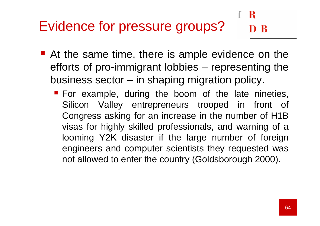#### R Evidence for pressure groups?

- At the same time, there is ample evidence on the efforts of pro-immigrant lobbies – representing the business sector – in shaping migration policy.
	- **For example, during the boom of the late nineties,** Silicon Valley entrepreneurs trooped in front of Congress asking for an increase in the number of H1B visas for highly skilled professionals, and warning of a looming Y2K disaster if the large number of foreign engineers and computer scientists they requested was not allowed to enter the country (Goldsborough 2000).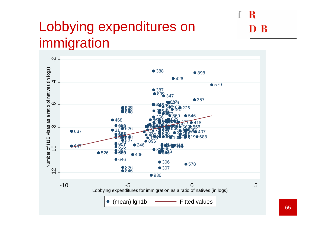### Lobbying expenditures on immigration



 $\mathbf R$ 

 $\mathbf B$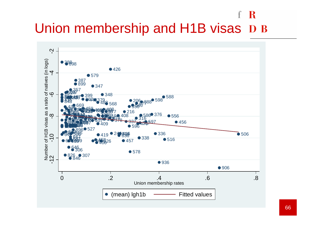#### - R f Union membership and H1B visas D B

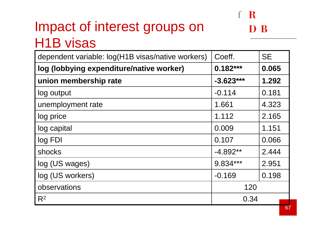## Impact of interest groups on H1B visas



 $\mathbf R$ 

-R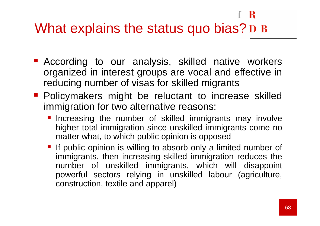#### f R What explains the status quo bias? D B

- **According to our analysis, skilled native workers** organized in interest groups are vocal and effective in reducing number of visas for skilled migrants
- **Policymakers might be reluctant to increase skilled** immigration for two alternative reasons:
	- **Increasing the number of skilled immigrants may involve** higher total immigration since unskilled immigrants come no matter what, to which public opinion is opposed
	- If public opinion is willing to absorb only a limited number of immigrants, then increasing skilled immigration reduces the number of unskilled immigrants, which will disappoint powerful sectors relying in unskilled labour (agriculture, construction, textile and apparel)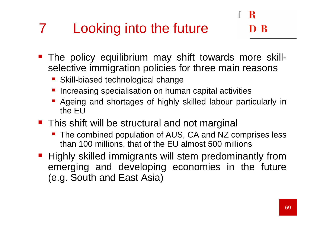## Looking into the future

- **The policy equilibrium may shift towards more skill** selective immigration policies for three main reasons
	- **Skill-biased technological change**
	- **Increasing specialisation on human capital activities Service Service**
	- **Ageing and shortages of highly skilled labour particularly in** the EU
- **This shift will be structural and not marginal** 
	- The combined population of AUS, CA and NZ comprises less than 100 millions, that of the EU almost 500 millions
- **Highly skilled immigrants will stem predominantly from** emerging and developing economies in the future (e.g. South and East Asia)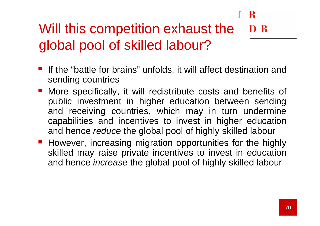#### Will this competition exhaust the D<sub>B</sub> global pool of skilled labour?

- If the "battle for brains" unfolds, it will affect destination and sending countries
- **More specifically, it will redistribute costs and benefits of** public investment in higher education between sending and receiving countries, which may in turn undermine capabilities and incentives to invest in higher education and hence *reduce* the global pool of highly skilled labour
- **However, increasing migration opportunities for the highly** skilled may raise private incentives to invest in education and hence *increase* the global pool of highly skilled labour

R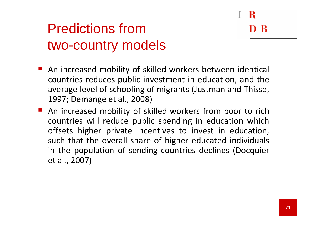R

### Predictions from two-country models

- An increased mobility of skilled workers between identical countries reduces public investment in education, and the average level of schooling of migrants (Justman and Thisse, 1997; Demange et al., 2008)
- An increased mobility of skilled workers from poor to rich countries will reduce public spending in education which offsets higher private incentives to invest in education, such that the overall share of higher educated individuals in the population of sending countries declines (Docquier et al., 2007)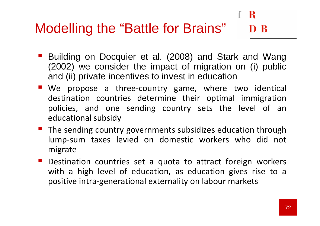## Modelling the "Battle for Brains"

- Building on Docquier et al. (2008) and Stark and Wang (2002) we consider the impact of migration on (i) public and (ii) private incentives to invest in education
- **We propose a three-country game, where two identical** destination countries determine their optimal immigration policies, and one sending country sets the level of an educational subsidy
- **The sending country governments subsidizes education through** lump-sum taxes levied on domestic workers who did not migrate
- **Destination countries set a quota to attract foreign workers** with a high level of education, as education gives rise to a positive intra-generational externality on labour markets

 $\mathbf R$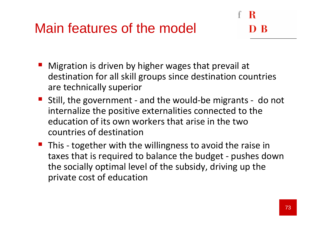### Main features of the model

- **Migration is driven by higher wages that prevail at Algorithm** destination for all skill groups since destination countries are technically superior
- **Still, the government and the would-be migrants do not** internalize the positive externalities connected to the education of its own workers that arise in the two countries of destination
- **This together with the willingness to avoid the raise in** taxes that is required to balance the budget - pushes down the socially optimal level of the subsidy, driving up the private cost of education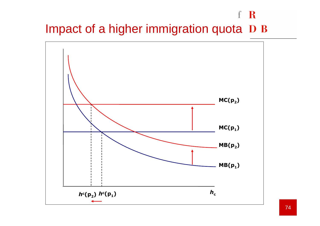#### f R Impact of a higher immigration quota D B

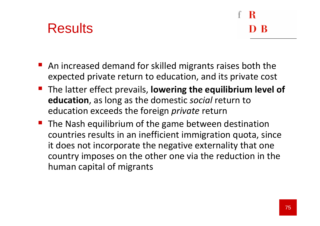#### **Results**

- An increased demand for skilled migrants raises both the expected private return to education, and its private cost
- **The latter effect prevails, lowering the equilibrium level of** education, as long as the domestic social return to education exceeds the foreign private return
- **The Nash equilibrium of the game between destination** countries results in an inefficient immigration quota, since it does not incorporate the negative externality that one country imposes on the other one via the reduction in the human capital of migrants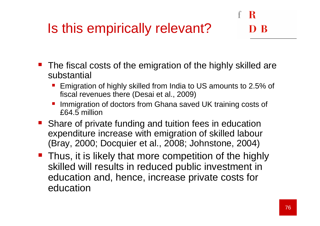## Is this empirically relevant?

- The fiscal costs of the emigration of the highly skilled are substantial
	- **Service Service**  Emigration of highly skilled from India to US amounts to 2.5% of fiscal revenues there (Desai et al., 2009)
	- **Service Service**  Immigration of doctors from Ghana saved UK training costs of £64.5 million
- **Share of private funding and tuition fees in education** expenditure increase with emigration of skilled labour (Bray, 2000; Docquier et al., 2008; Johnstone, 2004)
- **Thus, it is likely that more competition of the highly** skilled will results in reduced public investment in education and, hence, increase private costs for education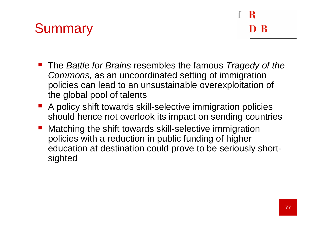### **Summary**

- R

- The Battle for Brains resembles the famous Tragedy of the Commons, as an uncoordinated setting of immigration policies can lead to an unsustainable overexploitation of the global pool of talents
- A policy shift towards skill-selective immigration policies should hence not overlook its impact on sending countries
- **Matching the shift towards skill-selective immigration** policies with a reduction in public funding of higher education at destination could prove to be seriously shortsighted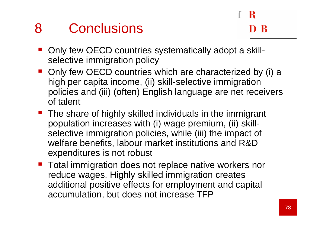#### 8 Conclusions

- **Only few OECD countries systematically adopt a skill**selective immigration policy
- Only few OECD countries which are characterized by (i) a high per capita income, (ii) skill-selective immigration policies and (iii) (often) English language are net receivers of talent
- The share of highly skilled individuals in the immigrant population increases with (i) wage premium, (ii) skillselective immigration policies, while (iii) the impact of welfare benefits, labour market institutions and R&D expenditures is not robust
- **Total immigration does not replace native workers nor** reduce wages. Highly skilled immigration creates additional positive effects for employment and capital accumulation, but does not increase TFP